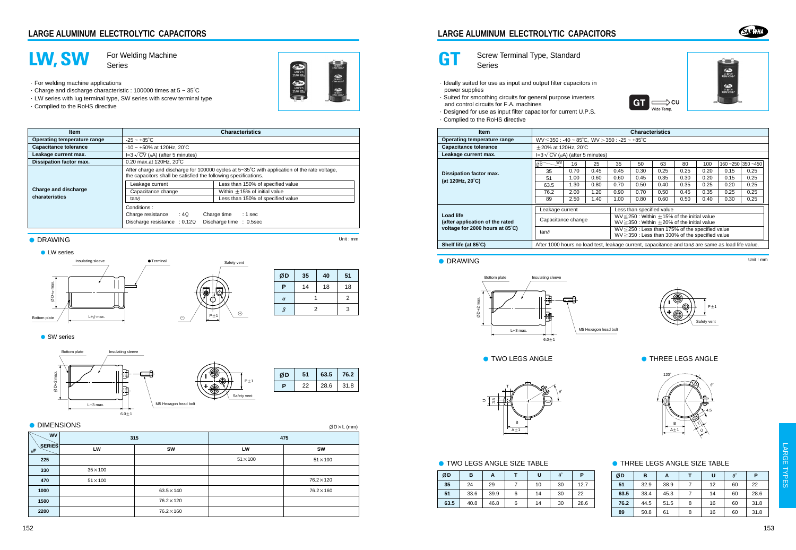



**GT** Screw Terminal Type, Standard Series

- ·Ideally suited for use as input and output filter capacitors in power supplies
- ·Suited for smoothing circuits for general purpose inverters and control circuits for F.A. machines
- ·Designed for use as input filter capacitor for current U.P.S.
- ·Complied to the RoHS directive





| <b>Item</b>                                         |                                                                                                           | <b>Characteristics</b><br>WV<br>16<br>35<br>63<br>25<br>50<br>80<br>160~250 350~450<br>100<br>0.70<br>0.45<br>0.45<br>0.25<br>0.30<br>0.25<br>0.20<br>0.15<br>0.25<br>35<br>0.35<br>0.25<br>1.00<br>0.60<br>0.60<br>0.45<br>0.30<br>0.20<br>0.15<br>51<br>1.30<br>0.25<br>0.80<br>0.70<br>0.50<br>0.40<br>0.35<br>0.25<br>0.20<br>63.5<br>1.20<br>0.70<br>2.00<br>0.90<br>0.50<br>0.45<br>0.35<br>0.25<br>0.25<br>76.2<br>2.50<br>1.40<br>0.80<br>0.60<br>0.30<br>0.25<br>1.00<br>0.50<br>0.40<br>89 |  |  |  |  |  |  |  |  |
|-----------------------------------------------------|-----------------------------------------------------------------------------------------------------------|------------------------------------------------------------------------------------------------------------------------------------------------------------------------------------------------------------------------------------------------------------------------------------------------------------------------------------------------------------------------------------------------------------------------------------------------------------------------------------------------------|--|--|--|--|--|--|--|--|
| Operating temperature range                         |                                                                                                           | $WV \le 350$ : -40 ~ 85°C, WV > 350: -25 ~ +85°C                                                                                                                                                                                                                                                                                                                                                                                                                                                     |  |  |  |  |  |  |  |  |
| <b>Capacitance tolerance</b>                        |                                                                                                           | $\pm$ 20% at 120Hz, 20°C                                                                                                                                                                                                                                                                                                                                                                                                                                                                             |  |  |  |  |  |  |  |  |
| Leakage current max.                                |                                                                                                           | $I=3\sqrt{CV}(\mu A)$ (after 5 minutes)                                                                                                                                                                                                                                                                                                                                                                                                                                                              |  |  |  |  |  |  |  |  |
|                                                     | ØD                                                                                                        |                                                                                                                                                                                                                                                                                                                                                                                                                                                                                                      |  |  |  |  |  |  |  |  |
| Dissipation factor max.                             |                                                                                                           |                                                                                                                                                                                                                                                                                                                                                                                                                                                                                                      |  |  |  |  |  |  |  |  |
| (at 120Hz, 20°C)                                    |                                                                                                           |                                                                                                                                                                                                                                                                                                                                                                                                                                                                                                      |  |  |  |  |  |  |  |  |
|                                                     |                                                                                                           |                                                                                                                                                                                                                                                                                                                                                                                                                                                                                                      |  |  |  |  |  |  |  |  |
|                                                     |                                                                                                           |                                                                                                                                                                                                                                                                                                                                                                                                                                                                                                      |  |  |  |  |  |  |  |  |
|                                                     |                                                                                                           |                                                                                                                                                                                                                                                                                                                                                                                                                                                                                                      |  |  |  |  |  |  |  |  |
|                                                     | Less than specified value<br>Leakage current                                                              |                                                                                                                                                                                                                                                                                                                                                                                                                                                                                                      |  |  |  |  |  |  |  |  |
| <b>Load life</b><br>(after application of the rated | Capacitance change                                                                                        | $WV \le 250$ : Within $\pm$ 15% of the initial value<br>$WV \ge 350$ : Within $\pm 20\%$ of the initial value                                                                                                                                                                                                                                                                                                                                                                                        |  |  |  |  |  |  |  |  |
| voltage for 2000 hours at 85°C)                     | tan∂                                                                                                      | $WV \le 250$ : Less than 175% of the specified value<br>$WV \ge 350$ : Less than 300% of the specified value                                                                                                                                                                                                                                                                                                                                                                                         |  |  |  |  |  |  |  |  |
| Shelf life (at 85°C)                                | After 1000 hours no load test, leakage current, capacitance and tan $\delta$ are same as load life value. |                                                                                                                                                                                                                                                                                                                                                                                                                                                                                                      |  |  |  |  |  |  |  |  |

## ● DRAWING Unit : mm







| ØD   | в    | А    |   | U  | $\theta^{\circ}$ | P    |
|------|------|------|---|----|------------------|------|
| 35   | 24   | 29   |   | 10 | 30               | 12.7 |
| 51   | 33.6 | 39.9 | 6 | 14 | 30               | 22   |
| 63.5 | 40.8 | 46.8 | 6 | 14 | 30               | 28.6 |





### ● TWO LEGS ANGLE SIZE TABLE ● THREE LEGS ANGLE SIZE TABLE

| ØD   | в    | А    |   | U  | $\theta^{\circ}$ | P    |
|------|------|------|---|----|------------------|------|
| 51   | 32.9 | 38.9 |   | 12 | 60               | 22   |
| 63.5 | 38.4 | 45.3 |   | 14 | 60               | 28.6 |
| 76.2 | 44.5 | 51.5 | 8 | 16 | 60               | 31.8 |
| 89   | 50.8 | 61   | 8 | 16 | 60               | 31.8 |